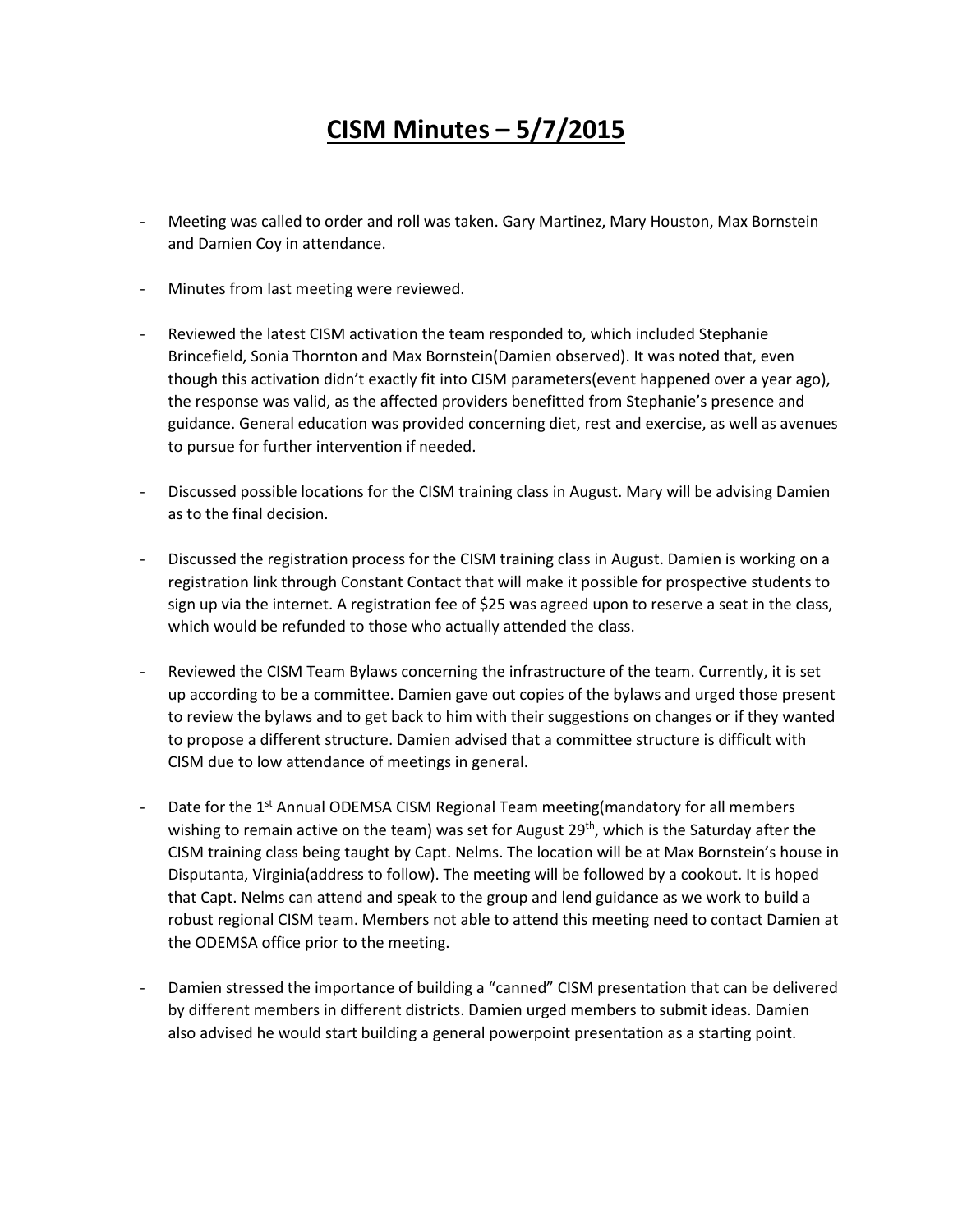## **CISM Minutes – 5/7/2015**

- Meeting was called to order and roll was taken. Gary Martinez, Mary Houston, Max Bornstein and Damien Coy in attendance.
- Minutes from last meeting were reviewed.
- Reviewed the latest CISM activation the team responded to, which included Stephanie Brincefield, Sonia Thornton and Max Bornstein(Damien observed). It was noted that, even though this activation didn't exactly fit into CISM parameters(event happened over a year ago), the response was valid, as the affected providers benefitted from Stephanie's presence and guidance. General education was provided concerning diet, rest and exercise, as well as avenues to pursue for further intervention if needed.
- Discussed possible locations for the CISM training class in August. Mary will be advising Damien as to the final decision.
- Discussed the registration process for the CISM training class in August. Damien is working on a registration link through Constant Contact that will make it possible for prospective students to sign up via the internet. A registration fee of \$25 was agreed upon to reserve a seat in the class, which would be refunded to those who actually attended the class.
- Reviewed the CISM Team Bylaws concerning the infrastructure of the team. Currently, it is set up according to be a committee. Damien gave out copies of the bylaws and urged those present to review the bylaws and to get back to him with their suggestions on changes or if they wanted to propose a different structure. Damien advised that a committee structure is difficult with CISM due to low attendance of meetings in general.
- Date for the 1<sup>st</sup> Annual ODEMSA CISM Regional Team meeting(mandatory for all members wishing to remain active on the team) was set for August 29<sup>th</sup>, which is the Saturday after the CISM training class being taught by Capt. Nelms. The location will be at Max Bornstein's house in Disputanta, Virginia(address to follow). The meeting will be followed by a cookout. It is hoped that Capt. Nelms can attend and speak to the group and lend guidance as we work to build a robust regional CISM team. Members not able to attend this meeting need to contact Damien at the ODEMSA office prior to the meeting.
- Damien stressed the importance of building a "canned" CISM presentation that can be delivered by different members in different districts. Damien urged members to submit ideas. Damien also advised he would start building a general powerpoint presentation as a starting point.